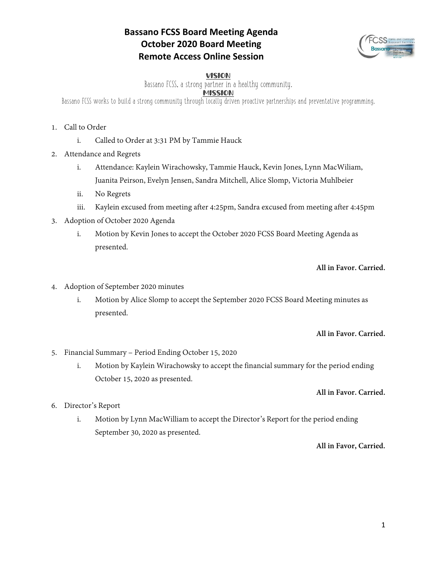# **Bassano FCSS Board Meeting Agenda October 2020 Board Meeting Remote Access Online Session**



## VISION

Bassano FCSS, a strong partner in a healthy community.

## MISSION

Bassano FCSS works to build a strong community through locally driven proactive partnerships and preventative programming.

- 1. Call to Order
	- i. Called to Order at 3:31 PM by Tammie Hauck
- 2. Attendance and Regrets
	- i. Attendance: Kaylein Wirachowsky, Tammie Hauck, Kevin Jones, Lynn MacWiliam, Juanita Peirson, Evelyn Jensen, Sandra Mitchell, Alice Slomp, Victoria Muhlbeier
	- ii. No Regrets
	- iii. Kaylein excused from meeting after 4:25pm, Sandra excused from meeting after 4:45pm
- 3. Adoption of October 2020 Agenda
	- i. Motion by Kevin Jones to accept the October 2020 FCSS Board Meeting Agenda as presented.

## **All in Favor. Carried.**

- 4. Adoption of September 2020 minutes
	- i. Motion by Alice Slomp to accept the September 2020 FCSS Board Meeting minutes as presented.

## **All in Favor. Carried.**

- 5. Financial Summary Period Ending October 15, 2020
	- i. Motion by Kaylein Wirachowsky to accept the financial summary for the period ending October 15, 2020 as presented.

## **All in Favor. Carried.**

- 6. Director's Report
	- i. Motion by Lynn MacWilliam to accept the Director's Report for the period ending September 30, 2020 as presented.

## **All in Favor, Carried.**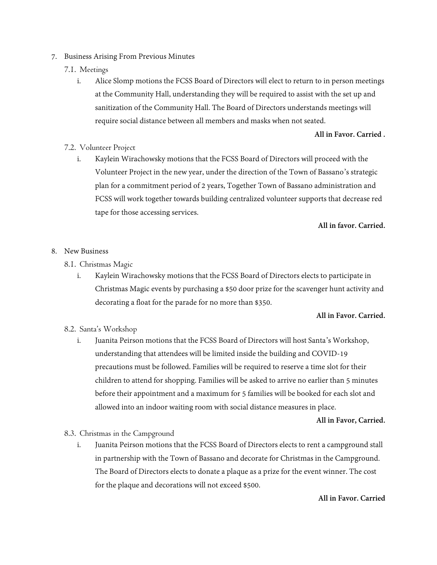- 7. Business Arising From Previous Minutes
	- 7.1. Meetings
		- i. Alice Slomp motions the FCSS Board of Directors will elect to return to in person meetings at the Community Hall, understanding they will be required to assist with the set up and sanitization of the Community Hall. The Board of Directors understands meetings will require social distance between all members and masks when not seated.

## **All in Favor. Carried .**

## 7.2. Volunteer Project

i. Kaylein Wirachowsky motions that the FCSS Board of Directors will proceed with the Volunteer Project in the new year, under the direction of the Town of Bassano's strategic plan for a commitment period of 2 years, Together Town of Bassano administration and FCSS will work together towards building centralized volunteer supports that decrease red tape for those accessing services.

#### **All in favor. Carried.**

- 8. New Business
	- 8.1. Christmas Magic
		- i. Kaylein Wirachowsky motions that the FCSS Board of Directors elects to participate in Christmas Magic events by purchasing a \$50 door prize for the scavenger hunt activity and decorating a float for the parade for no more than \$350.

## **All in Favor. Carried.**

## 8.2. Santa's Workshop

i. Juanita Peirson motions that the FCSS Board of Directors will host Santa's Workshop, understanding that attendees will be limited inside the building and COVID-19 precautions must be followed. Families will be required to reserve a time slot for their children to attend for shopping. Families will be asked to arrive no earlier than 5 minutes before their appointment and a maximum for 5 families will be booked for each slot and allowed into an indoor waiting room with social distance measures in place.

## **All in Favor, Carried.**

- 8.3. Christmas in the Campground
	- i. Juanita Peirson motions that the FCSS Board of Directors elects to rent a campground stall in partnership with the Town of Bassano and decorate for Christmas in the Campground. The Board of Directors elects to donate a plaque as a prize for the event winner. The cost for the plaque and decorations will not exceed \$500.

### **All in Favor. Carried**